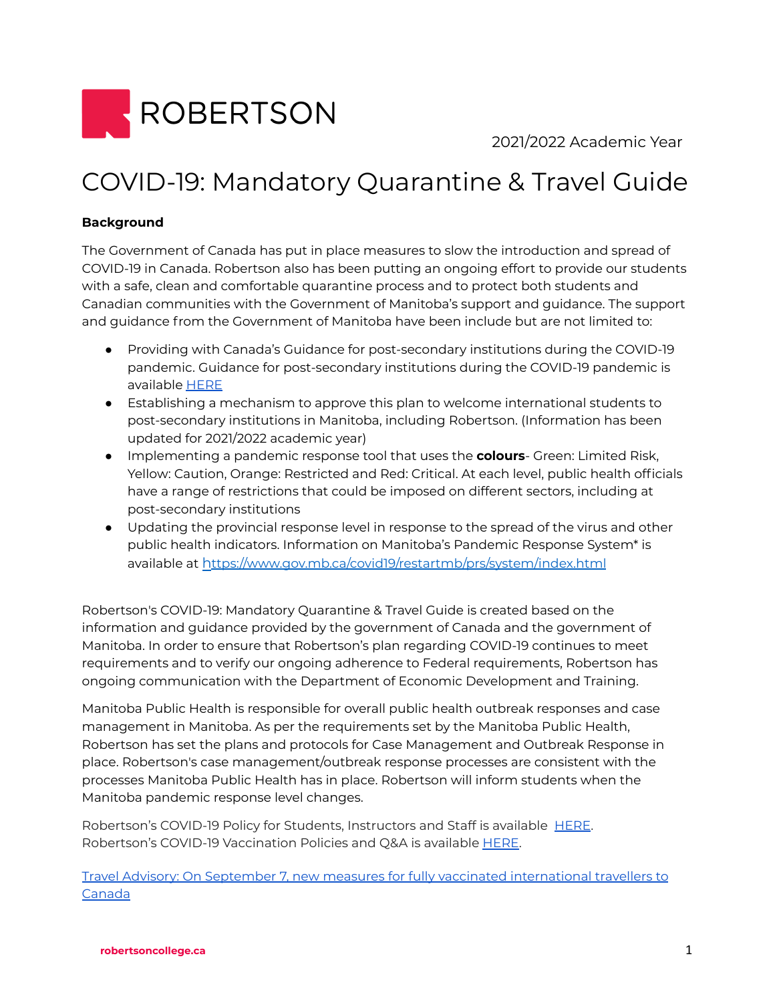

2021/2022 Academic Year

# COVID-19: Mandatory Quarantine & Travel Guide

# **Background**

The Government of Canada has put in place measures to slow the introduction and spread of COVID-19 in Canada. Robertson also has been putting an ongoing effort to provide our students with a safe, clean and comfortable quarantine process and to protect both students and Canadian communities with the Government of Manitoba's support and guidance. The support and guidance from the Government of Manitoba have been include but are not limited to:

- Providing with Canada's Guidance for post-secondary institutions during the COVID-19 pandemic. Guidance for post-secondary institutions during the COVID-19 pandemic is available [HERE](https://www.canada.ca/en/public-health/services/diseases/2019-novel-coronavirus-infection/guidance-documents/covid-19-guidance-post-secondary-institutions-during-pandemic.html)
- Establishing a mechanism to approve this plan to welcome international students to post-secondary institutions in Manitoba, including Robertson. (Information has been updated for 2021/2022 academic year)
- Implementing a pandemic response tool that uses the **colours** Green: Limited Risk, Yellow: Caution, Orange: Restricted and Red: Critical. At each level, public health officials have a range of restrictions that could be imposed on different sectors, including at post-secondary institutions
- Updating the provincial response level in response to the spread of the virus and other public health indicators. Information on Manitoba's Pandemic Response System\* is available at h[ttps://www.gov.mb.ca/covid19/restartmb/prs/system/index.html](https://www.gov.mb.ca/covid19/restartmb/prs/system/index.html)

Robertson's COVID-19: Mandatory Quarantine & Travel Guide is created based on the information and guidance provided by the government of Canada and the government of Manitoba. In order to ensure that Robertson's plan regarding COVID-19 continues to meet requirements and to verify our ongoing adherence to Federal requirements, Robertson has ongoing communication with the Department of Economic Development and Training.

Manitoba Public Health is responsible for overall public health outbreak responses and case management in Manitoba. As per the requirements set by the Manitoba Public Health, Robertson has set the plans and protocols for Case Management and Outbreak Response in place. Robertson's case management/outbreak response processes are consistent with the processes Manitoba Public Health has in place. Robertson will inform students when the Manitoba pandemic response level changes.

Robertson's COVID-19 Policy for Students, Instructors and Staff is available [HERE.](https://www.robertsoncollege.com/help/student-resources/covid-19-policy/) Robertson's COVID-19 Vaccination Policies and Q&A is available **[HERE](https://www.robertsoncollege.com/help/policies/covid-vaccination-policies/)**.

Travel Advisory: On September 7, new measures for fully vaccinated [international](https://www.canada.ca/en/border-services-agency/news/2021/09/travel-advisory-reminder--on-september-7-new-measures-for-fully-vaccinated-international-travellers-to-canada-will-come-into-force.html) travellers to [Canada](https://www.canada.ca/en/border-services-agency/news/2021/09/travel-advisory-reminder--on-september-7-new-measures-for-fully-vaccinated-international-travellers-to-canada-will-come-into-force.html)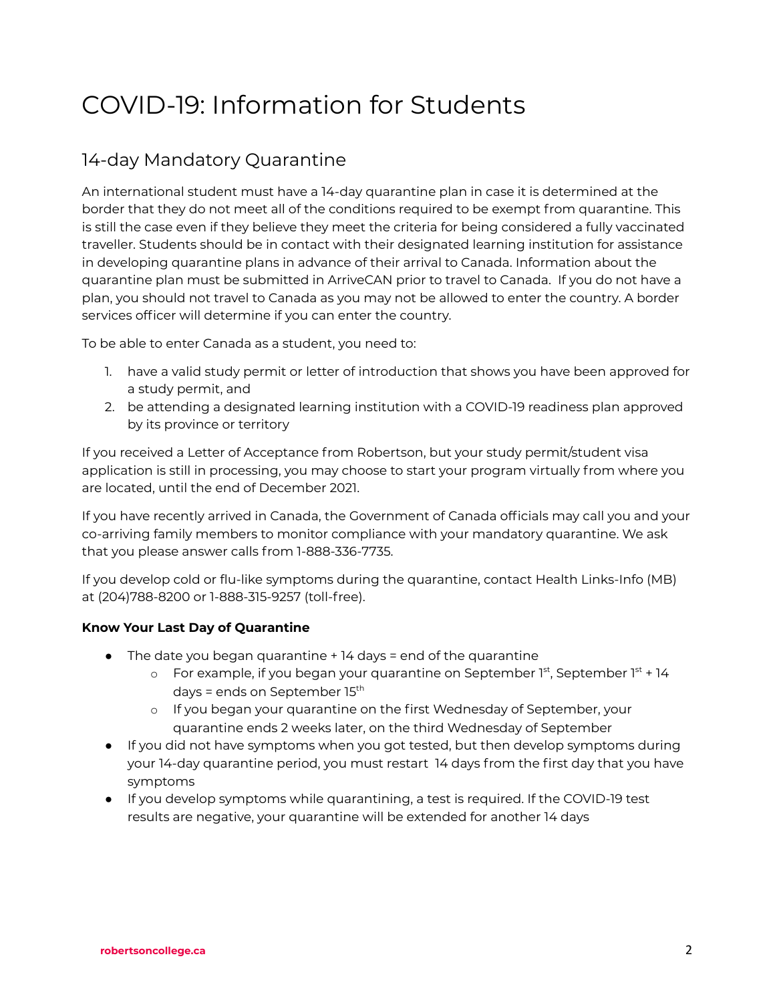# COVID-19: Information for Students

# 14-day Mandatory Quarantine

An international student must have a 14-day quarantine plan in case it is determined at the border that they do not meet all of the conditions required to be exempt from quarantine. This is still the case even if they believe they meet the criteria for being considered a fully vaccinated traveller. Students should be in contact with their designated learning institution for assistance in developing quarantine plans in advance of their arrival to Canada. Information about the quarantine plan must be submitted in ArriveCAN prior to travel to Canada. If you do not have a plan, you should not travel to Canada as you may not be allowed to enter the country. A border services officer will determine if you can enter the country.

To be able to enter Canada as a student, you need to:

- 1. have a valid study permit or letter of introduction that shows you have been approved for a study permit, and
- 2. be attending a designated learning institution with a COVID-19 readiness plan approved by its province or territory

If you received a Letter of Acceptance from Robertson, but your study permit/student visa application is still in processing, you may choose to start your program virtually from where you are located, until the end of December 2021.

If you have recently arrived in Canada, the Government of Canada officials may call you and your co-arriving family members to monitor compliance with your mandatory quarantine. We ask that you please answer calls from 1-888-336-7735.

If you develop cold or flu-like symptoms during the quarantine, contact Health Links-Info (MB) at (204)788-8200 or 1-888-315-9257 (toll-free).

# **Know Your Last Day of Quarantine**

- $\bullet$  The date you began quarantine  $+$  14 days = end of the quarantine
	- o For example, if you began your quarantine on September 1st, September 1st + 14 days = ends on September 15<sup>th</sup>
	- o If you began your quarantine on the first Wednesday of September, your quarantine ends 2 weeks later, on the third Wednesday of September
- If you did not have symptoms when you got tested, but then develop symptoms during your 14-day quarantine period, you must restart 14 days from the first day that you have symptoms
- If you develop symptoms while quarantining, a test is required. If the COVID-19 test results are negative, your quarantine will be extended for another 14 days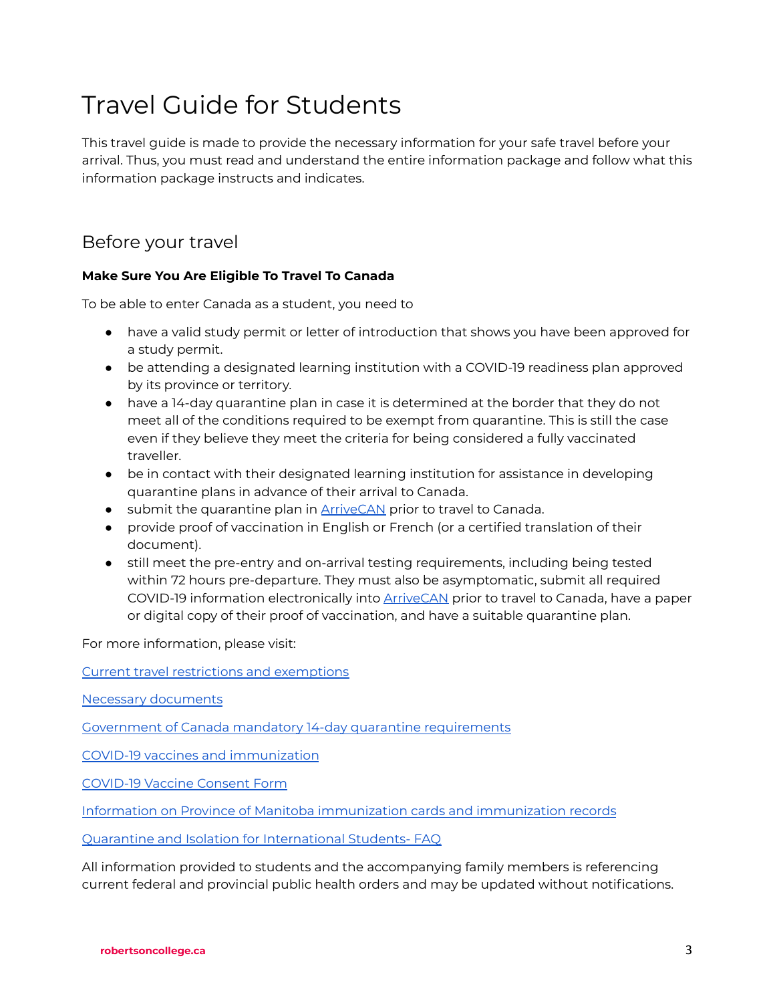# Travel Guide for Students

This travel guide is made to provide the necessary information for your safe travel before your arrival. Thus, you must read and understand the entire information package and follow what this information package instructs and indicates.

# Before your travel

# **Make Sure You Are Eligible To Travel To Canada**

To be able to enter Canada as a student, you need to

- have a valid study permit or letter of introduction that shows you have been approved for a study permit.
- be attending a designated learning institution with a COVID-19 readiness plan approved by its province or territory.
- have a 14-day quarantine plan in case it is determined at the border that they do not meet all of the conditions required to be exempt from quarantine. This is still the case even if they believe they meet the criteria for being considered a fully vaccinated traveller.
- be in contact with their designated learning institution for assistance in developing quarantine plans in advance of their arrival to Canada.
- submit the quarantine plan in **[ArriveCAN](https://www.canada.ca/en/public-health/services/diseases/coronavirus-disease-covid-19/arrivecan.html)** prior to travel to Canada.
- provide proof of vaccination in English or French (or a certified translation of their document).
- still meet the pre-entry and on-arrival testing requirements, including being tested within 72 hours pre-departure. They must also be asymptomatic, submit all required COVID-19 information electronically into [ArriveCAN](https://www.canada.ca/en/public-health/services/diseases/coronavirus-disease-covid-19/arrivecan.html) prior to travel to Canada, have a paper or digital copy of their proof of vaccination, and have a suitable quarantine plan.

For more information, please visit:

Current travel restrictions and [exemptions](https://travel.gc.ca/travel-covid%20and%20https://travel.gc.ca/travel-covid/travel-restrictions/covid-vaccinated-travellers-entering-canada)

Necessary [documents](https://www.canada.ca/en/immigration-refugees-citizenship/services/study-canada/study-permit/prepare-arrival.html)

Government of Canada mandatory 14-day quarantine [requirements](https://travel.gc.ca/travel-covid/travel-restrictions/isolation)

COVID-19 vaccines and [immunization](https://www.gov.mb.ca/covid19/vaccine/index.html)

[COVID-19](https://manitoba.ca/asset_library/en/covid/covid19_consent_form.pdf) Vaccine Consent Form

Information on Province of Manitoba [immunization](https://gov.mb.ca/covid19/vaccine/immunization-record.html) cards and immunization records

Quarantine and Isolation for [International](https://www.gov.mb.ca/covid19/fundamentals/self-isolation.html) Students- FAQ

All information provided to students and the accompanying family members is referencing current federal and provincial public health orders and may be updated without notifications.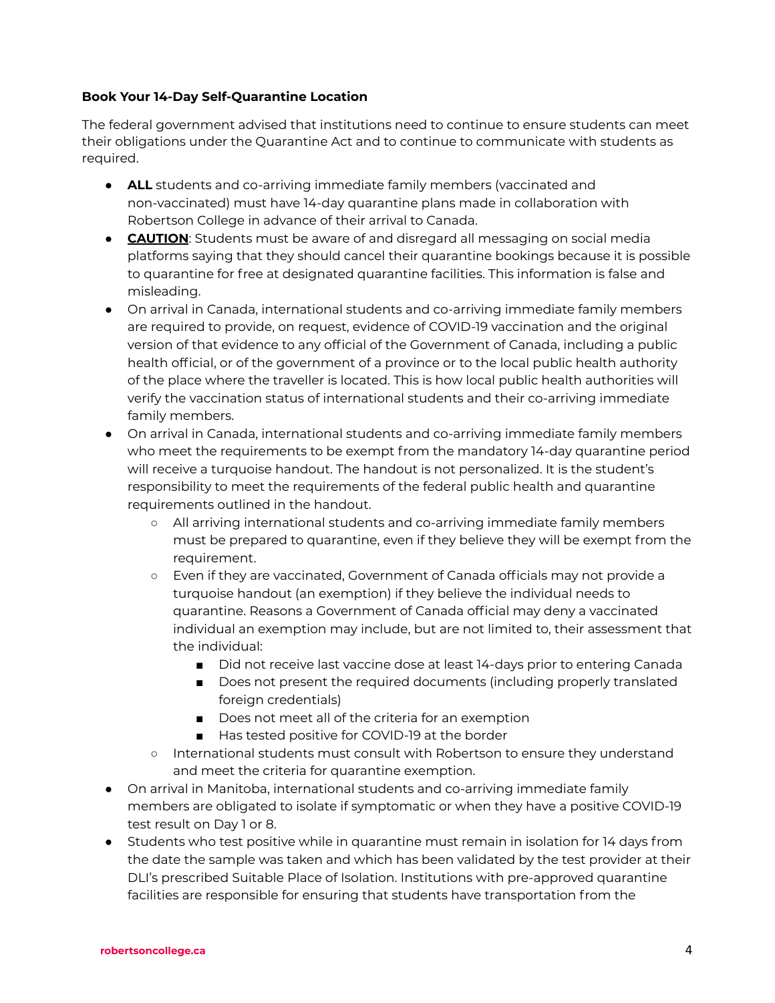### **Book Your 14-Day Self-Quarantine Location**

The federal government advised that institutions need to continue to ensure students can meet their obligations under the Quarantine Act and to continue to communicate with students as required.

- **ALL** students and co-arriving immediate family members (vaccinated and non-vaccinated) must have 14-day quarantine plans made in collaboration with Robertson College in advance of their arrival to Canada.
- **CAUTION:** Students must be aware of and disregard all messaging on social media platforms saying that they should cancel their quarantine bookings because it is possible to quarantine for free at designated quarantine facilities. This information is false and misleading.
- On arrival in Canada, international students and co-arriving immediate family members are required to provide, on request, evidence of COVID-19 vaccination and the original version of that evidence to any official of the Government of Canada, including a public health official, or of the government of a province or to the local public health authority of the place where the traveller is located. This is how local public health authorities will verify the vaccination status of international students and their co-arriving immediate family members.
- On arrival in Canada, international students and co-arriving immediate family members who meet the requirements to be exempt from the mandatory 14-day quarantine period will receive a turquoise handout. The handout is not personalized. It is the student's responsibility to meet the requirements of the federal public health and quarantine requirements outlined in the handout.
	- All arriving international students and co-arriving immediate family members must be prepared to quarantine, even if they believe they will be exempt from the requirement.
	- Even if they are vaccinated, Government of Canada officials may not provide a turquoise handout (an exemption) if they believe the individual needs to quarantine. Reasons a Government of Canada official may deny a vaccinated individual an exemption may include, but are not limited to, their assessment that the individual:
		- Did not receive last vaccine dose at least 14-days prior to entering Canada
		- Does not present the required documents (including properly translated foreign credentials)
		- Does not meet all of the criteria for an exemption
		- Has tested positive for COVID-19 at the border
	- International students must consult with Robertson to ensure they understand and meet the criteria for quarantine exemption.
- On arrival in Manitoba, international students and co-arriving immediate family members are obligated to isolate if symptomatic or when they have a positive COVID-19 test result on Day 1 or 8.
- Students who test positive while in quarantine must remain in isolation for 14 days from the date the sample was taken and which has been validated by the test provider at their DLI's prescribed Suitable Place of Isolation. Institutions with pre-approved quarantine facilities are responsible for ensuring that students have transportation from the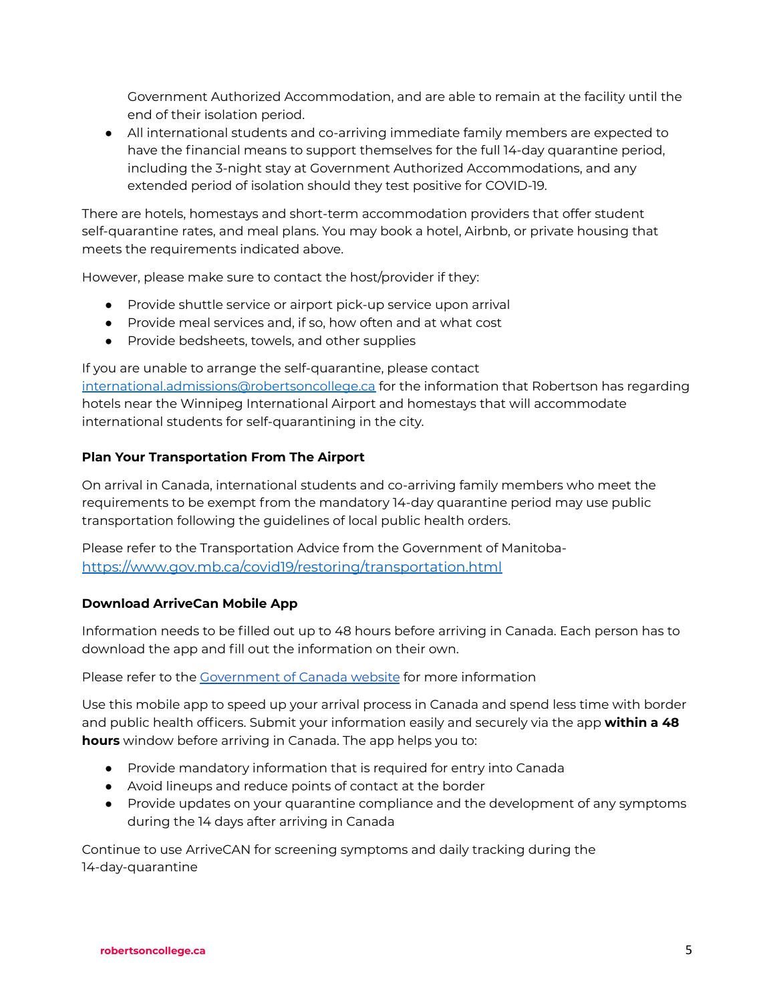Government Authorized Accommodation, and are able to remain at the facility until the end of their isolation period.

● All international students and co-arriving immediate family members are expected to have the financial means to support themselves for the full 14-day quarantine period, including the 3-night stay at Government Authorized Accommodations, and any extended period of isolation should they test positive for COVID-19.

There are hotels, homestays and short-term accommodation providers that offer student self-quarantine rates, and meal plans. You may book a hotel, Airbnb, or private housing that meets the requirements indicated above.

However, please make sure to contact the host/provider if they:

- Provide shuttle service or airport pick-up service upon arrival
- Provide meal services and, if so, how often and at what cost
- Provide bedsheets, towels, and other supplies

If you are unable to arrange the self-quarantine, please contact [international.admissions@robertsoncollege.ca](mailto:international.admissions@robertsoncollege.ca) for the information that Robertson has regarding hotels near the Winnipeg International Airport and homestays that will accommodate international students for self-quarantining in the city.

### **Plan Your Transportation From The Airport**

On arrival in Canada, international students and co-arriving family members who meet the requirements to be exempt from the mandatory 14-day quarantine period may use public transportation following the guidelines of local public health orders.

Please refer to the Transportation Advice from the Government of Manitoba<https://www.gov.mb.ca/covid19/restoring/transportation.html>

#### **Download ArriveCan Mobile App**

Information needs to be filled out up to 48 hours before arriving in Canada. Each person has to download the app and fill out the information on their own.

Please refer to the [Government](https://www.canada.ca/en/public-health/services/diseases/2019-novel-coronavirus-infection/latest-travel-health-advice.html#ua) of Canada website for more information

Use this mobile app to speed up your arrival process in Canada and spend less time with border and public health officers. Submit your information easily and securely via the app **within a 48 hours** window before arriving in Canada. The app helps you to:

- Provide mandatory information that is required for entry into Canada
- Avoid lineups and reduce points of contact at the border
- Provide updates on your quarantine compliance and the development of any symptoms during the 14 days after arriving in Canada

Continue to use ArriveCAN for screening symptoms and daily tracking during the 14-day-quarantine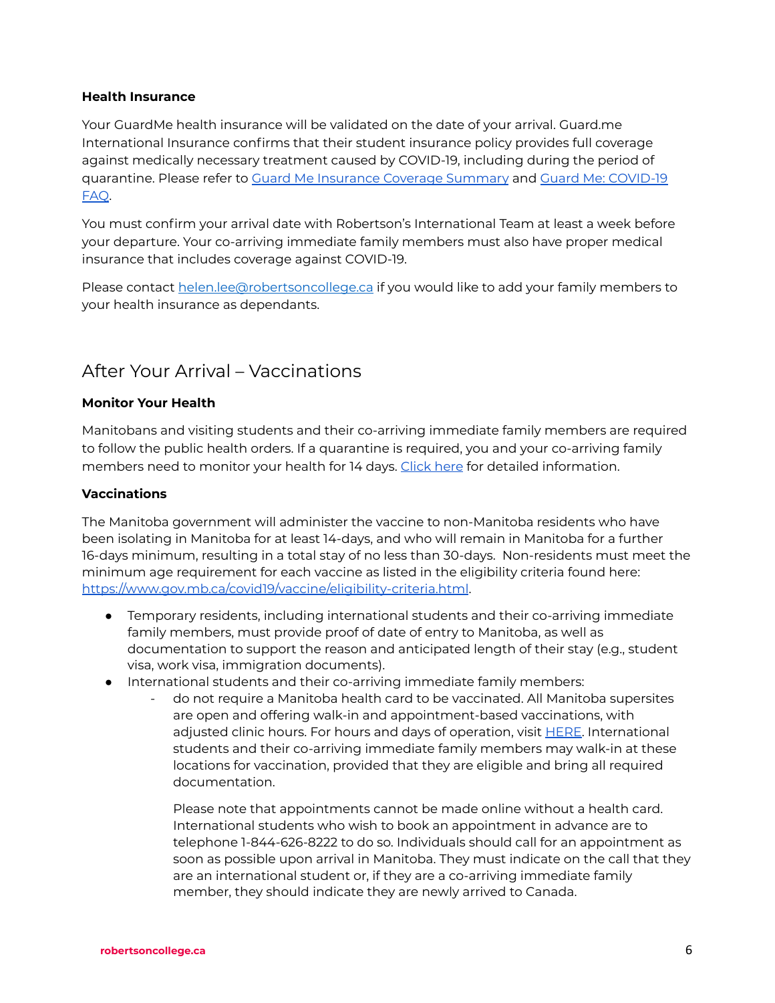#### **Health Insurance**

Your GuardMe health insurance will be validated on the date of your arrival. Guard.me International Insurance confirms that their student insurance policy provides full coverage against medically necessary treatment caused by COVID-19, including during the period of quarantine. Please refer to Guard Me [Insurance](https://www.robertsoncollege.com/site-content/uploads/2020/09/guard.me-More-Enhanced-Summary-English.pdf) Coverage Summary and Guard Me: [COVID-19](https://www.robertsoncollege.com/site-content/uploads/2020/09/GuardMe-COVID19-FAQs-For-Students.pdf) [FAQ](https://www.robertsoncollege.com/site-content/uploads/2020/09/GuardMe-COVID19-FAQs-For-Students.pdf).

You must confirm your arrival date with Robertson's International Team at least a week before your departure. Your co-arriving immediate family members must also have proper medical insurance that includes coverage against COVID-19.

Please contact [helen.lee@robertsoncollege.ca](mailto:helen.lee@robertsoncollege.ca) if you would like to add your family members to your health insurance as dependants.

# After Your Arrival – Vaccinations

### **Monitor Your Health**

Manitobans and visiting students and their co-arriving immediate family members are required to follow the public health orders. If a quarantine is required, you and your co-arriving family members need to monitor your health for 14 days. [Click](https://www.canada.ca/content/dam/phac-aspc/documents/services/publications/diseases-conditions/coronavirus/covid-19-travellers-without-symptoms-returning-canada/covid-19-travellers-without-symptoms-returning-canada-eng.pdf) here for detailed information.

### **Vaccinations**

The Manitoba government will administer the vaccine to non-Manitoba residents who have been isolating in Manitoba for at least 14-days, and who will remain in Manitoba for a further 16-days minimum, resulting in a total stay of no less than 30-days. Non-residents must meet the minimum age requirement for each vaccine as listed in the eligibility criteria found here: <https://www.gov.mb.ca/covid19/vaccine/eligibility-criteria.html>.

- Temporary residents, including international students and their co-arriving immediate family members, must provide proof of date of entry to Manitoba, as well as documentation to support the reason and anticipated length of their stay (e.g., student visa, work visa, immigration documents).
- International students and their co-arriving immediate family members:
	- do not require a Manitoba health card to be vaccinated. All Manitoba supersites are open and offering walk-in and appointment-based vaccinations, with adjusted clinic hours. For hours and days of operation, visit **HERE**. International students and their co-arriving immediate family members may walk-in at these locations for vaccination, provided that they are eligible and bring all required documentation.

Please note that appointments cannot be made online without a health card. International students who wish to book an appointment in advance are to telephone 1-844-626-8222 to do so. Individuals should call for an appointment as soon as possible upon arrival in Manitoba. They must indicate on the call that they are an international student or, if they are a co-arriving immediate family member, they should indicate they are newly arrived to Canada.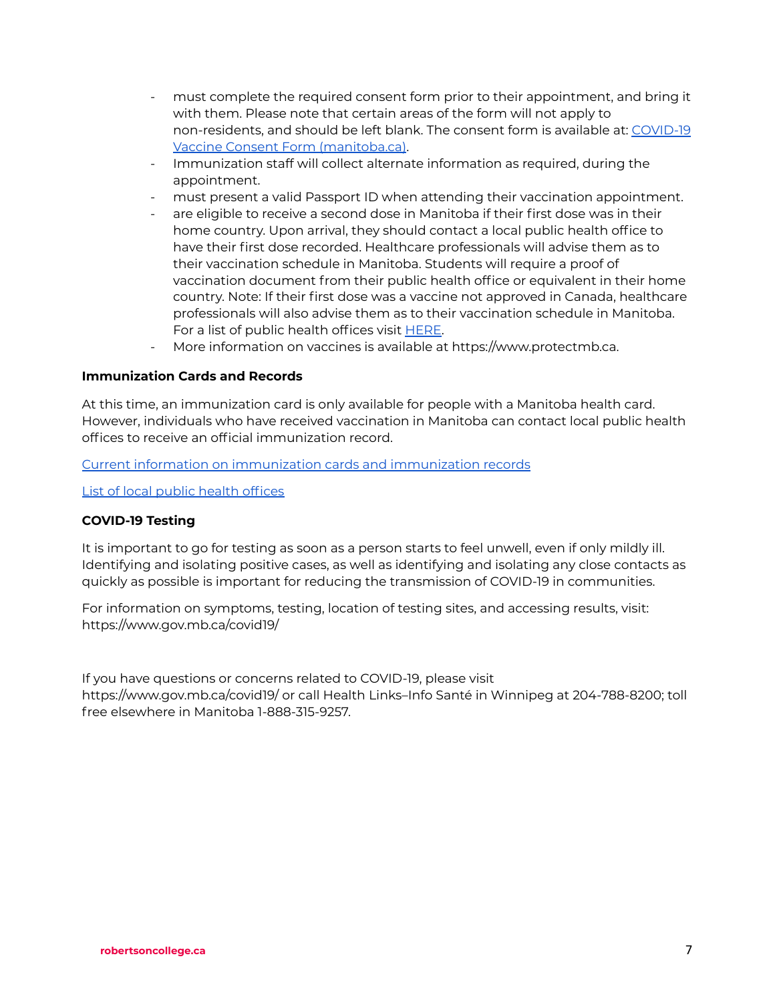- must complete the required consent form prior to their appointment, and bring it with them. Please note that certain areas of the form will not apply to non-residents, and should be left blank. The consent form is available at: [COVID-19](https://manitoba.ca/asset_library/en/covid/covid19_consent_form.pdf) Vaccine Consent Form [\(manitoba.ca\)](https://manitoba.ca/asset_library/en/covid/covid19_consent_form.pdf).
- Immunization staff will collect alternate information as required, during the appointment.
- must present a valid Passport ID when attending their vaccination appointment.
- are eligible to receive a second dose in Manitoba if their first dose was in their home country. Upon arrival, they should contact a local public health office to have their first dose recorded. Healthcare professionals will advise them as to their vaccination schedule in Manitoba. Students will require a proof of vaccination document from their public health office or equivalent in their home country. Note: If their first dose was a vaccine not approved in Canada, healthcare professionals will also advise them as to their vaccination schedule in Manitoba. For a list of public health offices visit [HERE.](https://www.gov.mb.ca/health/publichealth/offices)
- More information on vaccines is available at https://www.protectmb.ca.

### **Immunization Cards and Records**

At this time, an immunization card is only available for people with a Manitoba health card. However, individuals who have received vaccination in Manitoba can contact local public health offices to receive an official immunization record.

Current information on [immunization](https://www.gov.mb.ca/covid19/vaccine/immunization-record.html) cards and immunization records

List of local public health [offices](https://www.gov.mb.ca/health/publichealth/offices.html)

#### **COVID-19 Testing**

It is important to go for testing as soon as a person starts to feel unwell, even if only mildly ill. Identifying and isolating positive cases, as well as identifying and isolating any close contacts as quickly as possible is important for reducing the transmission of COVID-19 in communities.

For information on symptoms, testing, location of testing sites, and accessing results, visit: https://www.gov.mb.ca/covid19/

If you have questions or concerns related to COVID-19, please visit

https://www.gov.mb.ca/covid19/ or call Health Links–Info Santé in Winnipeg at 204-788-8200; toll free elsewhere in Manitoba 1-888-315-9257.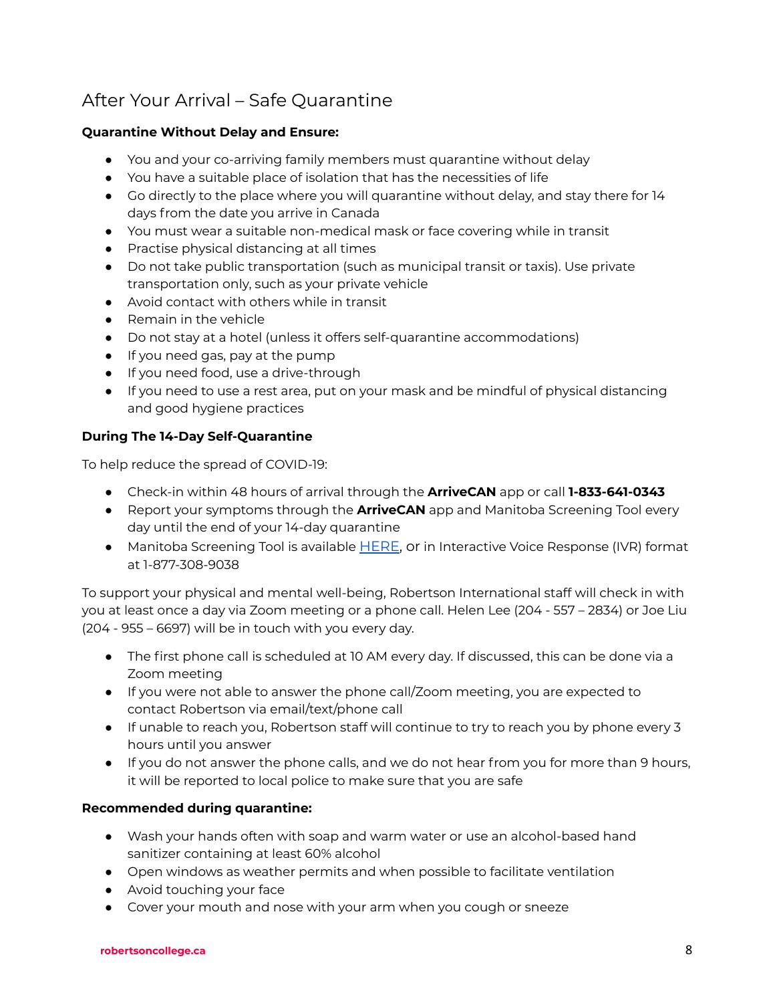# After Your Arrival – Safe Quarantine

# **Quarantine Without Delay and Ensure:**

- You and your co-arriving family members must quarantine without delay
- You have a suitable place of isolation that has the necessities of life
- Go directly to the place where you will quarantine without delay, and stay there for 14 days from the date you arrive in Canada
- You must wear a suitable non-medical mask or face covering while in transit
- Practise physical distancing at all times
- Do not take public transportation (such as municipal transit or taxis). Use private transportation only, such as your private vehicle
- Avoid contact with others while in transit
- Remain in the vehicle
- Do not stay at a hotel (unless it offers self-quarantine accommodations)
- If you need gas, pay at the pump
- If you need food, use a drive-through
- If you need to use a rest area, put on your mask and be mindful of physical distancing and good hygiene practices

# **During The 14-Day Self-Quarantine**

To help reduce the spread of COVID-19:

- Check-in within 48 hours of arrival through the **ArriveCAN** app or call **1-833-641-0343**
- Report your symptoms through the **ArriveCAN** app and Manitoba Screening Tool every day until the end of your 14-day quarantine
- Manitoba Screening Tool is available [HERE,](https://sharedhealthmb.ca/covid19/screening-tool/) or in Interactive Voice Response (IVR) format at 1-877-308-9038

To support your physical and mental well-being, Robertson International staff will check in with you at least once a day via Zoom meeting or a phone call. Helen Lee (204 - 557 – 2834) or Joe Liu (204 - 955 – 6697) will be in touch with you every day.

- The first phone call is scheduled at 10 AM every day. If discussed, this can be done via a Zoom meeting
- If you were not able to answer the phone call/Zoom meeting, you are expected to contact Robertson via email/text/phone call
- If unable to reach you, Robertson staff will continue to try to reach you by phone every 3 hours until you answer
- If you do not answer the phone calls, and we do not hear from you for more than 9 hours, it will be reported to local police to make sure that you are safe

# **Recommended during quarantine:**

- Wash your hands often with soap and warm water or use an alcohol-based hand sanitizer containing at least 60% alcohol
- Open windows as weather permits and when possible to facilitate ventilation
- Avoid touching your face
- Cover your mouth and nose with your arm when you cough or sneeze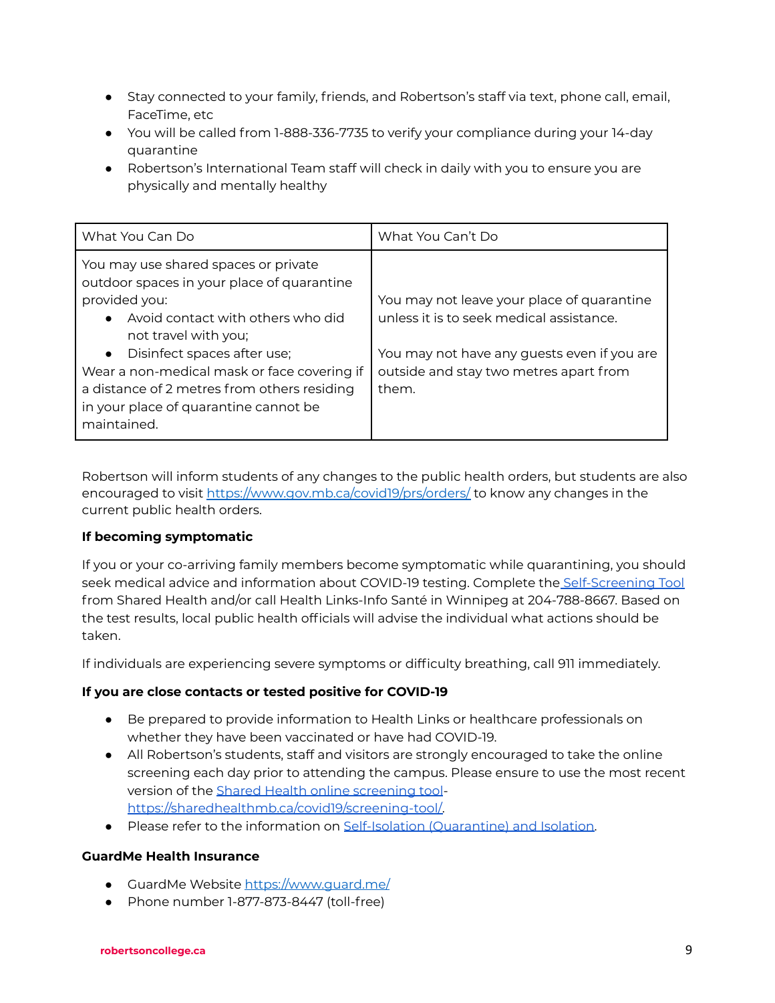- Stay connected to your family, friends, and Robertson's staff via text, phone call, email, FaceTime, etc
- You will be called from 1-888-336-7735 to verify your compliance during your 14-day quarantine
- Robertson's International Team staff will check in daily with you to ensure you are physically and mentally healthy

| What You Can Do                                                                                                                                                                                                                                                                                                                                                    | What You Can't Do                                                                                                                                                                        |
|--------------------------------------------------------------------------------------------------------------------------------------------------------------------------------------------------------------------------------------------------------------------------------------------------------------------------------------------------------------------|------------------------------------------------------------------------------------------------------------------------------------------------------------------------------------------|
| You may use shared spaces or private<br>outdoor spaces in your place of quarantine<br>provided you:<br>Avoid contact with others who did<br>not travel with you;<br>Disinfect spaces after use;<br>$\bullet$<br>Wear a non-medical mask or face covering if<br>a distance of 2 metres from others residing<br>in your place of quarantine cannot be<br>maintained. | You may not leave your place of quarantine<br>unless it is to seek medical assistance.<br>You may not have any guests even if you are<br>outside and stay two metres apart from<br>them. |

Robertson will inform students of any changes to the public health orders, but students are also encouraged to visit <https://www.gov.mb.ca/covid19/prs/orders/> to know any changes in the current public health orders.

# **If becoming symptomatic**

If you or your co-arriving family members become symptomatic while quarantining, you should seek medical advice and information about COVID-19 testing. Complete the [Self-Screening](https://sharedhealthmb.ca/covid19/screening-tool/) Tool from Shared Health and/or call Health Links-Info Santé in Winnipeg at 204-788-8667. Based on the test results, local public health officials will advise the individual what actions should be taken.

If individuals are experiencing severe symptoms or difficulty breathing, call 911 immediately.

#### **If you are close contacts or tested positive for COVID-19**

- Be prepared to provide information to Health Links or healthcare professionals on whether they have been vaccinated or have had COVID-19.
- All Robertson's students, staff and visitors are strongly encouraged to take the online screening each day prior to attending the campus. Please ensure to use the most recent version of the Shared Health online [screening](https://sharedhealthmb.ca/covid19/screening-tool/) tool[https://sharedhealthmb.ca/covid19/screening-tool/.](https://sharedhealthmb.ca/covid19/screening-tool/)
- Please refer to the information on [Self-Isolation](https://www.gov.mb.ca/covid19/fundamentals/self-isolation.html) (Quarantine) and Isolation.

#### **GuardMe Health Insurance**

- GuardMe Website https://www.quard.me/
- Phone number 1-877-873-8447 (toll-free)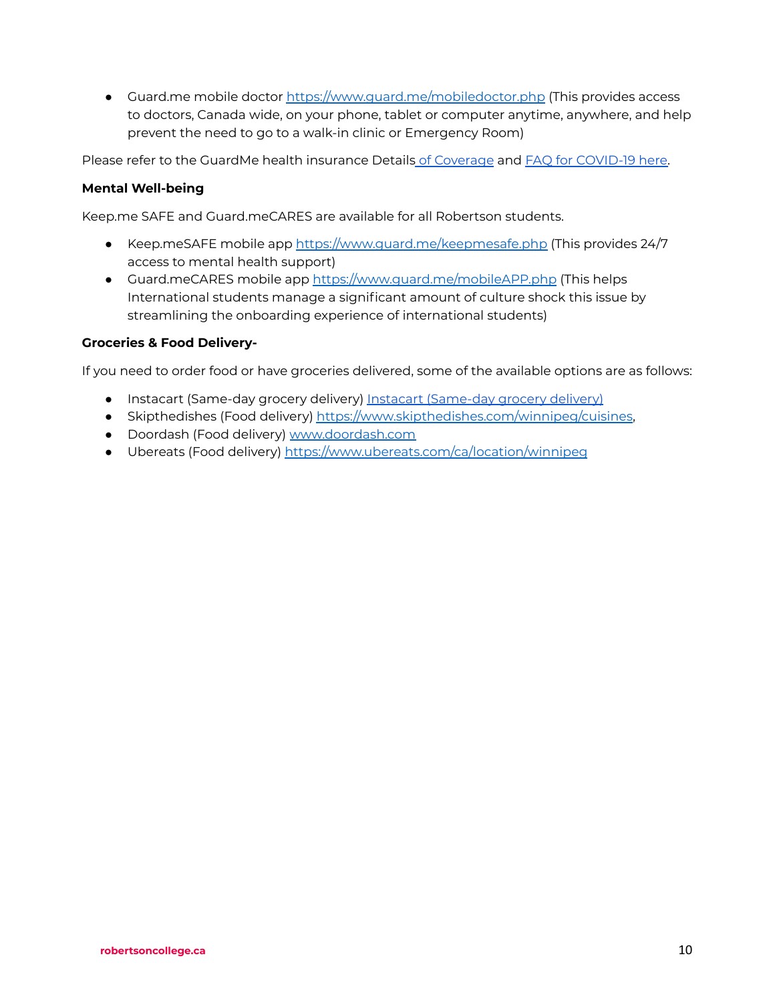● Guard.me mobile doctor <https://www.guard.me/mobiledoctor.php> (This provides access to doctors, Canada wide, on your phone, tablet or computer anytime, anywhere, and help prevent the need to go to a walk-in clinic or Emergency Room)

Please refer to the GuardMe health insurance Details of [Coverage](https://www.robertsoncollege.com/site-content/uploads/2020/09/guard.me-More-Enhanced-Summary-English.pdf) and FAQ for [COVID-19](https://www.robertsoncollege.com/site-content/uploads/2020/09/GuardMe-COVID19-FAQs-For-Students.pdf) here.

## **Mental Well-being**

Keep.me SAFE and Guard.meCARES are available for all Robertson students.

- Keep.meSAFE mobile app <https://www.guard.me/keepmesafe.php> (This provides 24/7 access to mental health support)
- Guard.meCARES mobile app <https://www.guard.me/mobileAPP.php> (This helps International students manage a significant amount of culture shock this issue by streamlining the onboarding experience of international students)

### **Groceries & Food Delivery-**

If you need to order food or have groceries delivered, some of the available options are as follows:

- Instacart (Same-day grocery delivery) Instacart [\(Same-day](https://www.instacart.ca/grocery-delivery/mb/near-me-in-winnipeg-mb) grocery delivery)
- Skipthedishes (Food delivery) <https://www.skipthedishes.com/winnipeg/cuisines>,
- Doordash (Food delivery) [www.doordash.com](http://www.doordash.com)
- Ubereats (Food delivery) <https://www.ubereats.com/ca/location/winnipeg>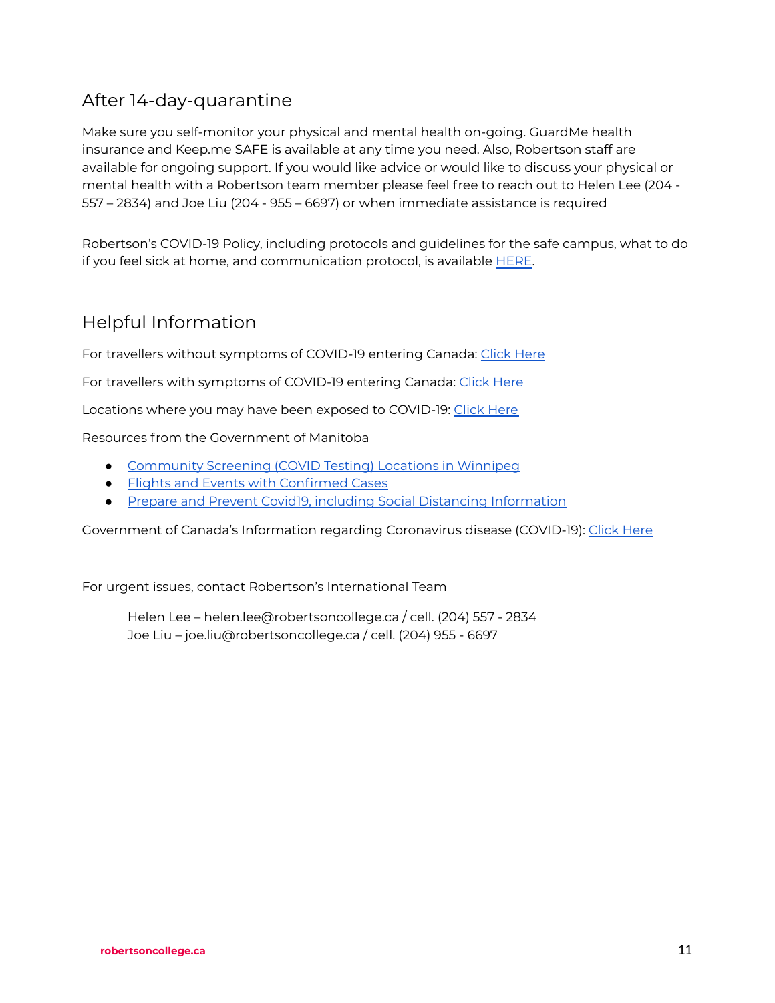# After 14-day-quarantine

Make sure you self-monitor your physical and mental health on-going. GuardMe health insurance and Keep.me SAFE is available at any time you need. Also, Robertson staff are available for ongoing support. If you would like advice or would like to discuss your physical or mental health with a Robertson team member please feel free to reach out to Helen Lee (204 - 557 – 2834) and Joe Liu (204 - 955 – 6697) or when immediate assistance is required

Robertson's COVID-19 Policy, including protocols and guidelines for the safe campus, what to do if you feel sick at home, and communication protocol, is available **HERE**.

# Helpful Information

For travellers without symptoms of COVID-19 entering Canada: [Click](https://www.canada.ca/en/public-health/services/publications/diseases-conditions/2019-novel-coronavirus-information-sheet.html) Here

For travellers with symptoms of COVID-19 entering Canada: Click [Here](https://www.canada.ca/en/public-health/services/publications/diseases-conditions/travellers-with-symptoms-return-canada.html)

Locations where you may have been exposed to COVID-19: Click [Here](https://www.canada.ca/en/public-health/services/diseases/2019-novel-coronavirus-infection/latest-travel-health-advice/exposure-flights-cruise-ships-mass-gatherings.html)

#### Resources from the Government of Manitoba

- [Community](https://manitoba.ca/covid19/updates/testing.html) Screening (COVID Testing) Locations in Winnipeg
- Flights and Events with [Confirmed](https://manitoba.ca/covid19/updates/testing.html) Cases
- Prepare and Prevent Covid19, including Social Distancing [Information](https://manitoba.ca/covid19/updates/prepareandprevent.html#faq)

Government of Canada's Information regarding Coronavirus disease (COVID-19): [Click](https://www.canada.ca/en/public-health/services/diseases/coronavirus-disease-covid-19.html) Here

For urgent issues, contact Robertson's International Team

Helen Lee – helen.lee@robertsoncollege.ca / cell. (204) 557 - 2834 Joe Liu – joe.liu@robertsoncollege.ca / cell. (204) 955 - 6697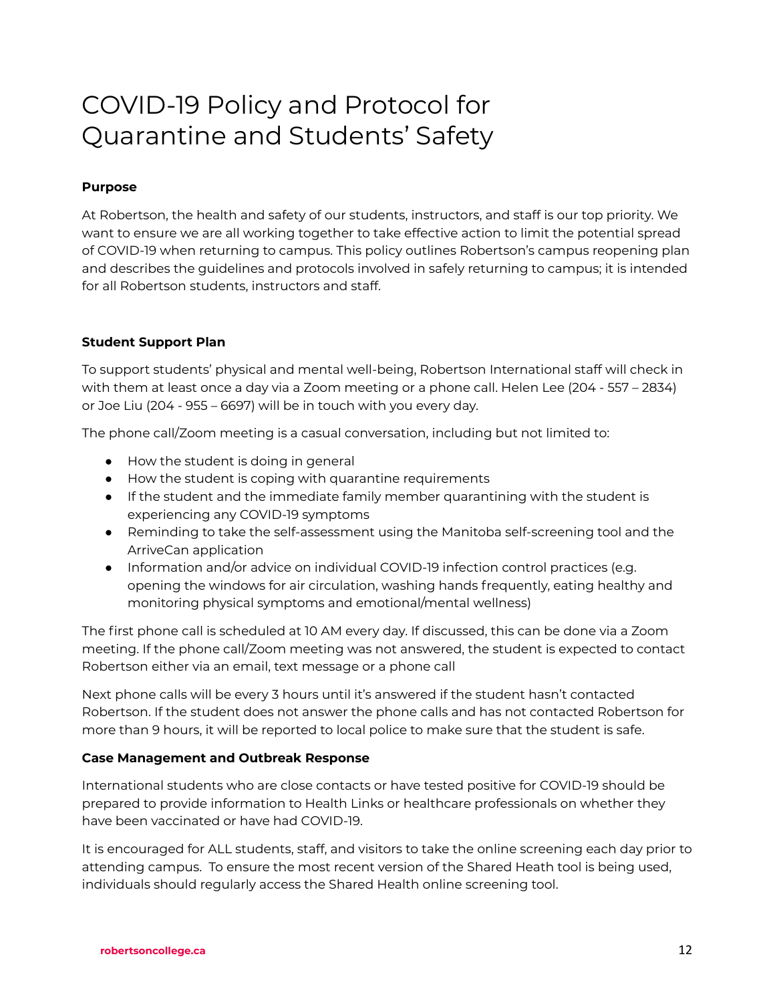# COVID-19 Policy and Protocol for Quarantine and Students' Safety

## **Purpose**

At Robertson, the health and safety of our students, instructors, and staff is our top priority. We want to ensure we are all working together to take effective action to limit the potential spread of COVID-19 when returning to campus. This policy outlines Robertson's campus reopening plan and describes the guidelines and protocols involved in safely returning to campus; it is intended for all Robertson students, instructors and staff.

### **Student Support Plan**

To support students' physical and mental well-being, Robertson International staff will check in with them at least once a day via a Zoom meeting or a phone call. Helen Lee (204 - 557 – 2834) or Joe Liu (204 - 955 – 6697) will be in touch with you every day.

The phone call/Zoom meeting is a casual conversation, including but not limited to:

- How the student is doing in general
- How the student is coping with quarantine requirements
- If the student and the immediate family member quarantining with the student is experiencing any COVID-19 symptoms
- Reminding to take the self-assessment using the Manitoba self-screening tool and the ArriveCan application
- Information and/or advice on individual COVID-19 infection control practices (e.g. opening the windows for air circulation, washing hands frequently, eating healthy and monitoring physical symptoms and emotional/mental wellness)

The first phone call is scheduled at 10 AM every day. If discussed, this can be done via a Zoom meeting. If the phone call/Zoom meeting was not answered, the student is expected to contact Robertson either via an email, text message or a phone call

Next phone calls will be every 3 hours until it's answered if the student hasn't contacted Robertson. If the student does not answer the phone calls and has not contacted Robertson for more than 9 hours, it will be reported to local police to make sure that the student is safe.

#### **Case Management and Outbreak Response**

International students who are close contacts or have tested positive for COVID-19 should be prepared to provide information to Health Links or healthcare professionals on whether they have been vaccinated or have had COVID-19.

It is encouraged for ALL students, staff, and visitors to take the online screening each day prior to attending campus. To ensure the most recent version of the Shared Heath tool is being used, individuals should regularly access the Shared Health online screening tool.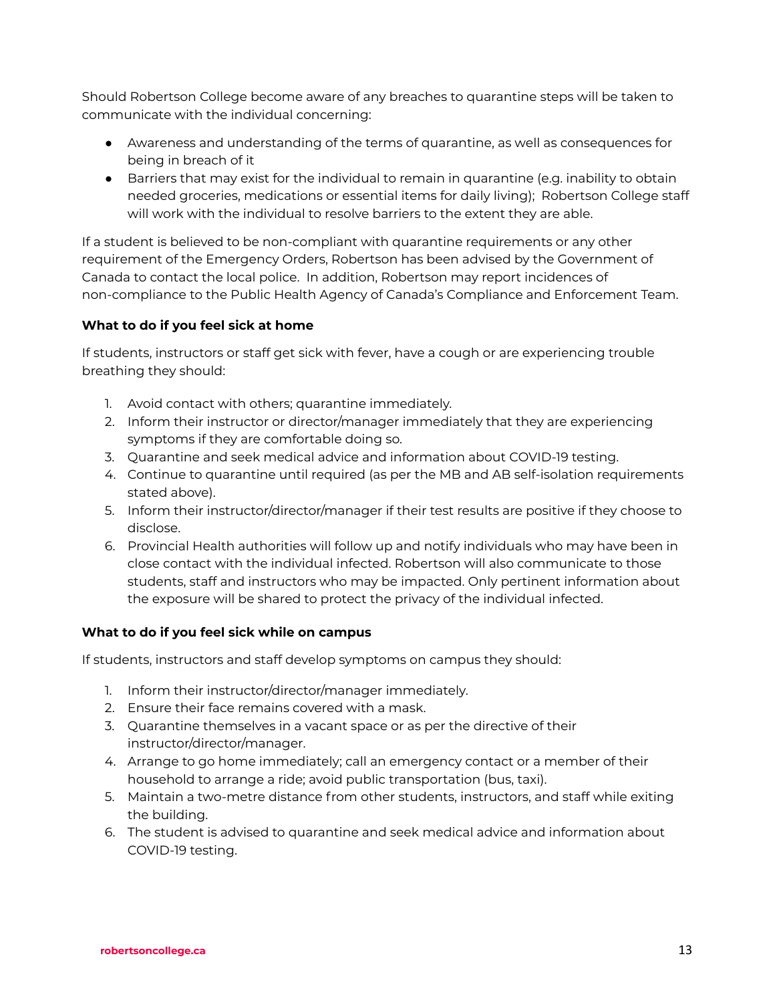Should Robertson College become aware of any breaches to quarantine steps will be taken to communicate with the individual concerning:

- Awareness and understanding of the terms of quarantine, as well as consequences for being in breach of it
- Barriers that may exist for the individual to remain in quarantine (e.g. inability to obtain needed groceries, medications or essential items for daily living); Robertson College staff will work with the individual to resolve barriers to the extent they are able.

If a student is believed to be non-compliant with quarantine requirements or any other requirement of the Emergency Orders, Robertson has been advised by the Government of Canada to contact the local police. In addition, Robertson may report incidences of non-compliance to the Public Health Agency of Canada's Compliance and Enforcement Team.

# **What to do if you feel sick at home**

If students, instructors or staff get sick with fever, have a cough or are experiencing trouble breathing they should:

- 1. Avoid contact with others; quarantine immediately.
- 2. Inform their instructor or director/manager immediately that they are experiencing symptoms if they are comfortable doing so.
- 3. Quarantine and seek medical advice and information about COVID-19 testing.
- 4. Continue to quarantine until required (as per the MB and AB self-isolation requirements stated above).
- 5. Inform their instructor/director/manager if their test results are positive if they choose to disclose.
- 6. Provincial Health authorities will follow up and notify individuals who may have been in close contact with the individual infected. Robertson will also communicate to those students, staff and instructors who may be impacted. Only pertinent information about the exposure will be shared to protect the privacy of the individual infected.

# **What to do if you feel sick while on campus**

If students, instructors and staff develop symptoms on campus they should:

- 1. Inform their instructor/director/manager immediately.
- 2. Ensure their face remains covered with a mask.
- 3. Quarantine themselves in a vacant space or as per the directive of their instructor/director/manager.
- 4. Arrange to go home immediately; call an emergency contact or a member of their household to arrange a ride; avoid public transportation (bus, taxi).
- 5. Maintain a two-metre distance from other students, instructors, and staff while exiting the building.
- 6. The student is advised to quarantine and seek medical advice and information about COVID-19 testing.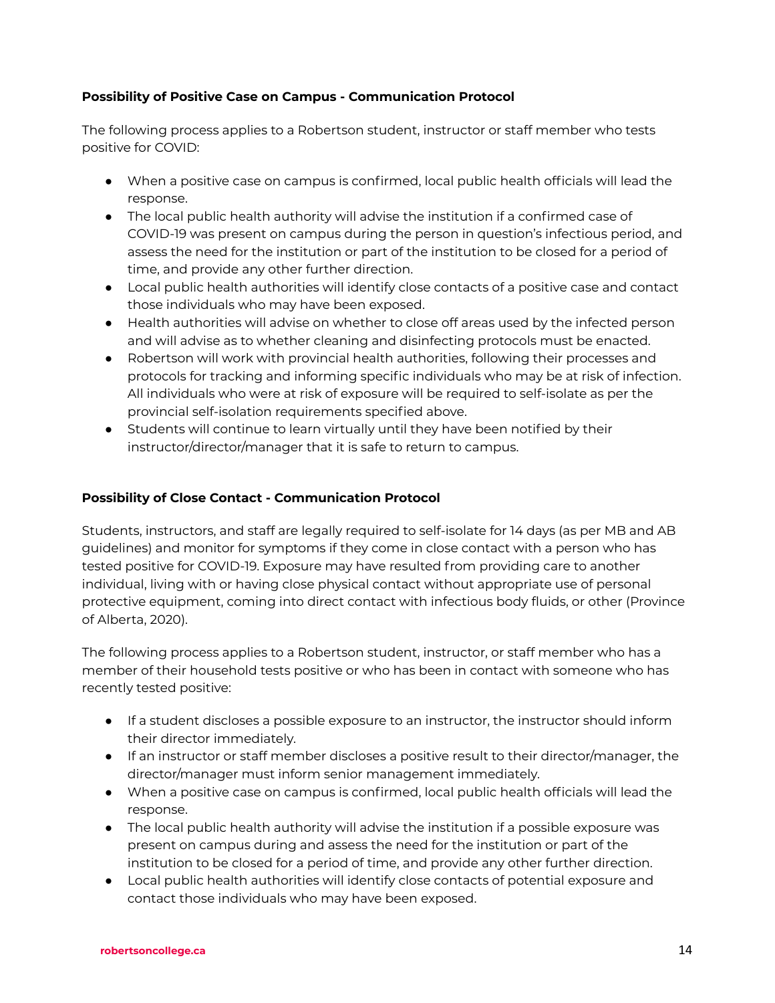# **Possibility of Positive Case on Campus - Communication Protocol**

The following process applies to a Robertson student, instructor or staff member who tests positive for COVID:

- When a positive case on campus is confirmed, local public health officials will lead the response.
- The local public health authority will advise the institution if a confirmed case of COVID-19 was present on campus during the person in question's infectious period, and assess the need for the institution or part of the institution to be closed for a period of time, and provide any other further direction.
- Local public health authorities will identify close contacts of a positive case and contact those individuals who may have been exposed.
- Health authorities will advise on whether to close off areas used by the infected person and will advise as to whether cleaning and disinfecting protocols must be enacted.
- Robertson will work with provincial health authorities, following their processes and protocols for tracking and informing specific individuals who may be at risk of infection. All individuals who were at risk of exposure will be required to self-isolate as per the provincial self-isolation requirements specified above.
- Students will continue to learn virtually until they have been notified by their instructor/director/manager that it is safe to return to campus.

### **Possibility of Close Contact - Communication Protocol**

Students, instructors, and staff are legally required to self-isolate for 14 days (as per MB and AB guidelines) and monitor for symptoms if they come in close contact with a person who has tested positive for COVID-19. Exposure may have resulted from providing care to another individual, living with or having close physical contact without appropriate use of personal protective equipment, coming into direct contact with infectious body fluids, or other (Province of Alberta, 2020).

The following process applies to a Robertson student, instructor, or staff member who has a member of their household tests positive or who has been in contact with someone who has recently tested positive:

- If a student discloses a possible exposure to an instructor, the instructor should inform their director immediately.
- If an instructor or staff member discloses a positive result to their director/manager, the director/manager must inform senior management immediately.
- When a positive case on campus is confirmed, local public health officials will lead the response.
- The local public health authority will advise the institution if a possible exposure was present on campus during and assess the need for the institution or part of the institution to be closed for a period of time, and provide any other further direction.
- Local public health authorities will identify close contacts of potential exposure and contact those individuals who may have been exposed.